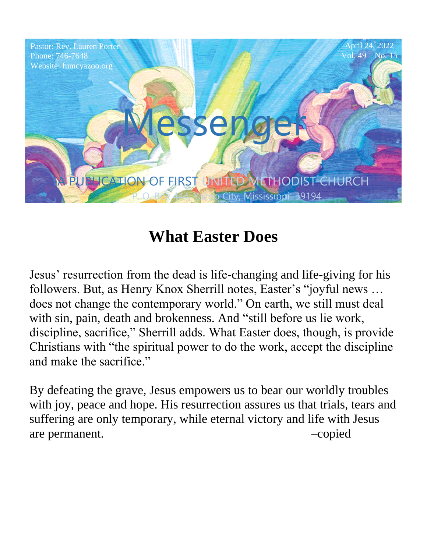

# **What Easter Does**

Jesus' resurrection from the dead is life-changing and life-giving for his followers. But, as Henry Knox Sherrill notes, Easter's "joyful news … does not change the contemporary world." On earth, we still must deal with sin, pain, death and brokenness. And "still before us lie work, discipline, sacrifice," Sherrill adds. What Easter does, though, is provide Christians with "the spiritual power to do the work, accept the discipline and make the sacrifice."

By defeating the grave, Jesus empowers us to bear our worldly troubles with joy, peace and hope. His resurrection assures us that trials, tears and suffering are only temporary, while eternal victory and life with Jesus are permanent.  $\sim$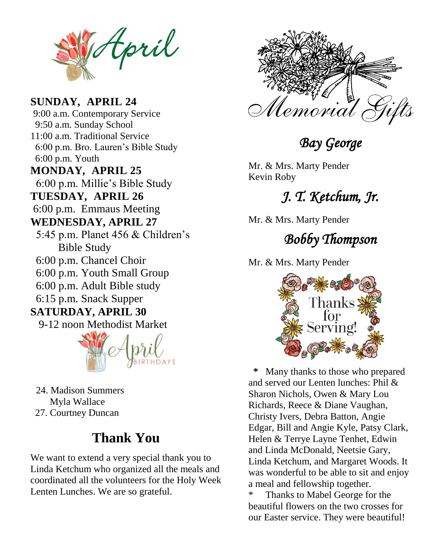tpril

MUNDA1, AF 6:00 p.m. Millie's Bible Study Website: fumcyazoo.org **TUESDAY***,* **APRIL 26** 6:00 p.m. Bro. Lauren's Bible Study  $0$  p.m. Youth  $\overline{0}$  $\sum_{i=1}^{n} A_{i}$ **SUNDAY***,* **APRIL 24** 9:00 a.m. Contemporary Service 9:50 a.m. Sunday School 11:00 a.m. Traditional Service 6:00 p.m. Youth **MONDAY***,* **APRIL 25** 6:00 p.m. Emmaus Meeting **WEDNESDAY, APRIL 27** 5:45 p.m. Planet 456 & Children's Bible Study 6:00 p.m. Chancel Choir 6:00 p.m. Youth Small Group 6:00 p.m. Adult Bible study 6:15 p.m. Snack Supper **SATURDAY, APRIL 30** 9-12 noon Methodist Market

 24. Madison Summers Myla Wallace 27. Courtney Duncan

### **Thank You**

We want to extend a very special thank you to Linda Ketchum who organized all the meals and coordinated all the volunteers for the Holy Week Lenten Lunches. We are so grateful.



*Bay George* 

Mr. & Mrs. Marty Pender

## J. T. Ketchum, Jr.

Mr. & Mrs. Marty Pender

### *Bobby Thompson*

Mr. & Mrs. Marty Pender



Many thanks to those who prepared and served our Lenten lunches: Phil  $\&$ Sharon Nichols, Owen & Mary Lou Richards, Reece & Diane Vaughan, Christy Ivers, Debra Batton, Angie Edgar, Bill and Angie Kyle, Patsy Clark, Helen & Terrye Layne Tenhet, Edwin and Linda McDonald, Neetsie Gary, Linda Ketchum, and Margaret Woods. It was wonderful to be able to sit and enjoy a meal and fellowship together.

Thanks to Mabel George for the beautiful flowers on the two crosses for our Easter service. They were beautiful!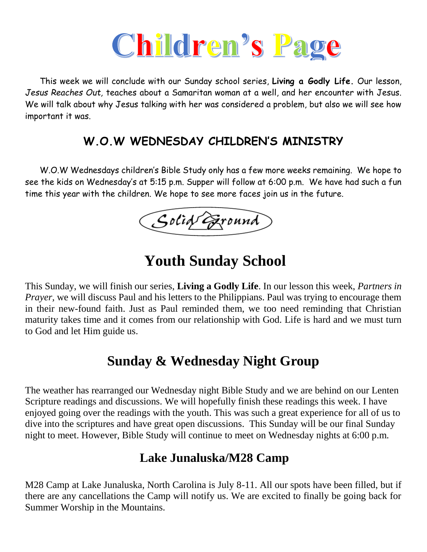

 This week we will conclude with our Sunday school series, **Living a Godly Life.** Our lesson, *Jesus Reaches Out,* teaches about a Samaritan woman at a well, and her encounter with Jesus. We will talk about why Jesus talking with her was considered a problem, but also we will see how important it was.

#### **W.O.W WEDNESDAY CHILDREN'S MINISTRY**

 W.O.W Wednesdays children's Bible Study only has a few more weeks remaining. We hope to see the kids on Wednesday's at 5:15 p.m. Supper will follow at 6:00 p.m. We have had such a fun time this year with the children. We hope to see more faces join us in the future.

Solid Exound

## **Youth Sunday School**

This Sunday, we will finish our series, **Living a Godly Life**. In our lesson this week, *Partners in Prayer*, we will discuss Paul and his letters to the Philippians. Paul was trying to encourage them in their new-found faith. Just as Paul reminded them, we too need reminding that Christian maturity takes time and it comes from our relationship with God. Life is hard and we must turn to God and let Him guide us.

### **Sunday & Wednesday Night Group**

The weather has rearranged our Wednesday night Bible Study and we are behind on our Lenten Scripture readings and discussions. We will hopefully finish these readings this week. I have enjoyed going over the readings with the youth. This was such a great experience for all of us to dive into the scriptures and have great open discussions. This Sunday will be our final Sunday night to meet. However, Bible Study will continue to meet on Wednesday nights at 6:00 p.m.

#### **Lake Junaluska/M28 Camp**

M28 Camp at Lake Junaluska, North Carolina is July 8-11. All our spots have been filled, but if there are any cancellations the Camp will notify us. We are excited to finally be going back for Summer Worship in the Mountains.